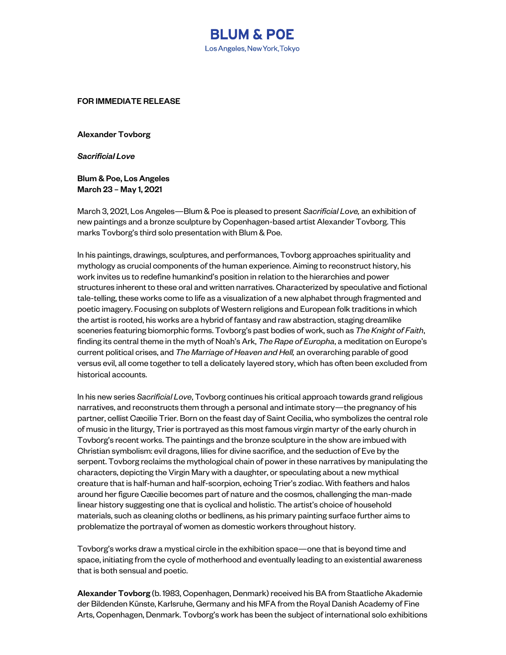

FOR IMMEDIATE RELEASE

Alexander Tovborg

*Sacrificial Love*

Blum & Poe, Los Angeles March 23 – May 1, 2021

March 3, 2021, Los Angeles—Blum & Poe is pleased to present *Sacrificial Love,* an exhibition of new paintings and a bronze sculpture by Copenhagen-based artist Alexander Tovborg. This marks Tovborg's third solo presentation with Blum & Poe.

In his paintings, drawings, sculptures, and performances, Tovborg approaches spirituality and mythology as crucial components of the human experience. Aiming to reconstruct history, his work invites us to redefine humankind's position in relation to the hierarchies and power structures inherent to these oral and written narratives. Characterized by speculative and fictional tale-telling, these works come to life as a visualization of a new alphabet through fragmented and poetic imagery. Focusing on subplots of Western religions and European folk traditions in which the artist is rooted, his works are a hybrid of fantasy and raw abstraction, staging dreamlike sceneries featuring biomorphic forms. Tovborg's past bodies of work, such as *The Knight of Faith*, finding its central theme in the myth of Noah's Ark, *The Rape of Europha*, a meditation on Europe's current political crises, and *The Marriage of Heaven and Hell,* an overarching parable of good versus evil, all come together to tell a delicately layered story, which has often been excluded from historical accounts.

In his new series *Sacrificial Love*, Tovborg continues his critical approach towards grand religious narratives, and reconstructs them through a personal and intimate story—the pregnancy of his partner, cellist Cæcilie Trier. Born on the feast day of Saint Cecilia, who symbolizes the central role of music in the liturgy, Trier is portrayed as this most famous virgin martyr of the early church in Tovborg's recent works. The paintings and the bronze sculpture in the show are imbued with Christian symbolism: evil dragons, lilies for divine sacrifice, and the seduction of Eve by the serpent. Tovborg reclaims the mythological chain of power in these narratives by manipulating the characters, depicting the Virgin Mary with a daughter, or speculating about a new mythical creature that is half-human and half-scorpion, echoing Trier's zodiac. With feathers and halos around her figure Cæcilie becomes part of nature and the cosmos, challenging the man-made linear history suggesting one that is cyclical and holistic. The artist's choice of household materials, such as cleaning cloths or bedlinens, as his primary painting surface further aims to problematize the portrayal of women as domestic workers throughout history.

Tovborg's works draw a mystical circle in the exhibition space—one that is beyond time and space, initiating from the cycle of motherhood and eventually leading to an existential awareness that is both sensual and poetic.

Alexander Tovborg (b. 1983, Copenhagen, Denmark) received his BA from Staatliche Akademie der Bildenden Künste, Karlsruhe, Germany and his MFA from the Royal Danish Academy of Fine Arts, Copenhagen, Denmark. Tovborg's work has been the subject of international solo exhibitions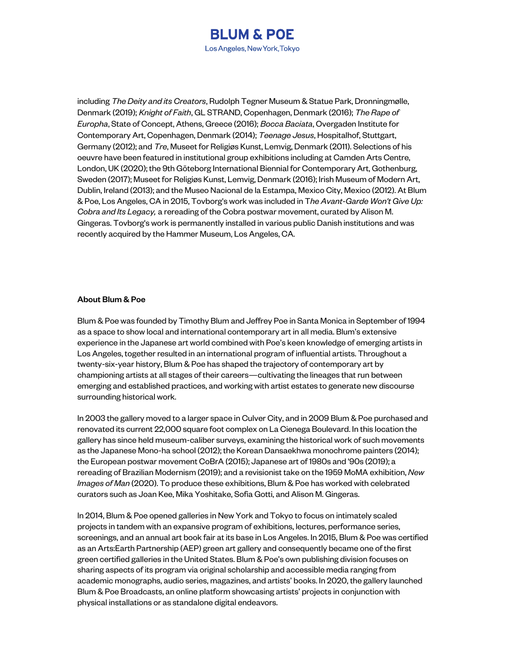

including *The Deity and its Creators*, Rudolph Tegner Museum & Statue Park, Dronningmølle, Denmark (2019); *Knight of Faith*, GL STRAND, Copenhagen, Denmark (2016); *The Rape of Europha*, State of Concept, Athens, Greece (2016); *Bocca Baciata*, Overgaden Institute for Contemporary Art, Copenhagen, Denmark (2014); *Teenage Jesus*, Hospitalhof, Stuttgart, Germany (2012); and *Tre*, Museet for Religiøs Kunst, Lemvig, Denmark (2011). Selections of his oeuvre have been featured in institutional group exhibitions including at Camden Arts Centre, London, UK (2020); the 9th Göteborg International Biennial for Contemporary Art, Gothenburg, Sweden (2017); Museet for Religiøs Kunst, Lemvig, Denmark (2016); Irish Museum of Modern Art, Dublin, Ireland (2013); and the Museo Nacional de la Estampa, Mexico City, Mexico (2012). At Blum & Poe, Los Angeles, CA in 2015, Tovborg's work was included in T*he Avant-Garde Won't Give Up: Cobra and Its Legacy,* a rereading of the Cobra postwar movement, curated by Alison M. Gingeras. Tovborg's work is permanently installed in various public Danish institutions and was recently acquired by the Hammer Museum, Los Angeles, CA.

## About Blum & Poe

Blum & Poe was founded by Timothy Blum and Jeffrey Poe in Santa Monica in September of 1994 as a space to show local and international contemporary art in all media. Blum's extensive experience in the Japanese art world combined with Poe's keen knowledge of emerging artists in Los Angeles, together resulted in an international program of influential artists. Throughout a twenty-six-year history, Blum & Poe has shaped the trajectory of contemporary art by championing artists at all stages of their careers—cultivating the lineages that run between emerging and established practices, and working with artist estates to generate new discourse surrounding historical work.

In 2003 the gallery moved to a larger space in Culver City, and in 2009 Blum & Poe purchased and renovated its current 22,000 square foot complex on La Cienega Boulevard. In this location the gallery has since held museum-caliber surveys, examining the historical work of such movements as the Japanese Mono-ha school (2012); the Korean Dansaekhwa monochrome painters (2014); the European postwar movement CoBrA (2015); Japanese art of 1980s and '90s (2019); a rereading of Brazilian Modernism (2019); and a revisionist take on the 1959 MoMA exhibition, *New Images of Man* (2020). To produce these exhibitions, Blum & Poe has worked with celebrated curators such as Joan Kee, Mika Yoshitake, Sofia Gotti, and Alison M. Gingeras.

In 2014, Blum & Poe opened galleries in New York and Tokyo to focus on intimately scaled projects in tandem with an expansive program of exhibitions, lectures, performance series, screenings, and an annual art book fair at its base in Los Angeles. In 2015, Blum & Poe was certified as an Arts:Earth Partnership (AEP) green art gallery and consequently became one of the first green certified galleries in the United States. Blum & Poe's own publishing division focuses on sharing aspects of its program via original scholarship and accessible media ranging from academic monographs, audio series, magazines, and artists' books. In 2020, the gallery launched Blum & Poe Broadcasts, an online platform showcasing artists' projects in conjunction with physical installations or as standalone digital endeavors.